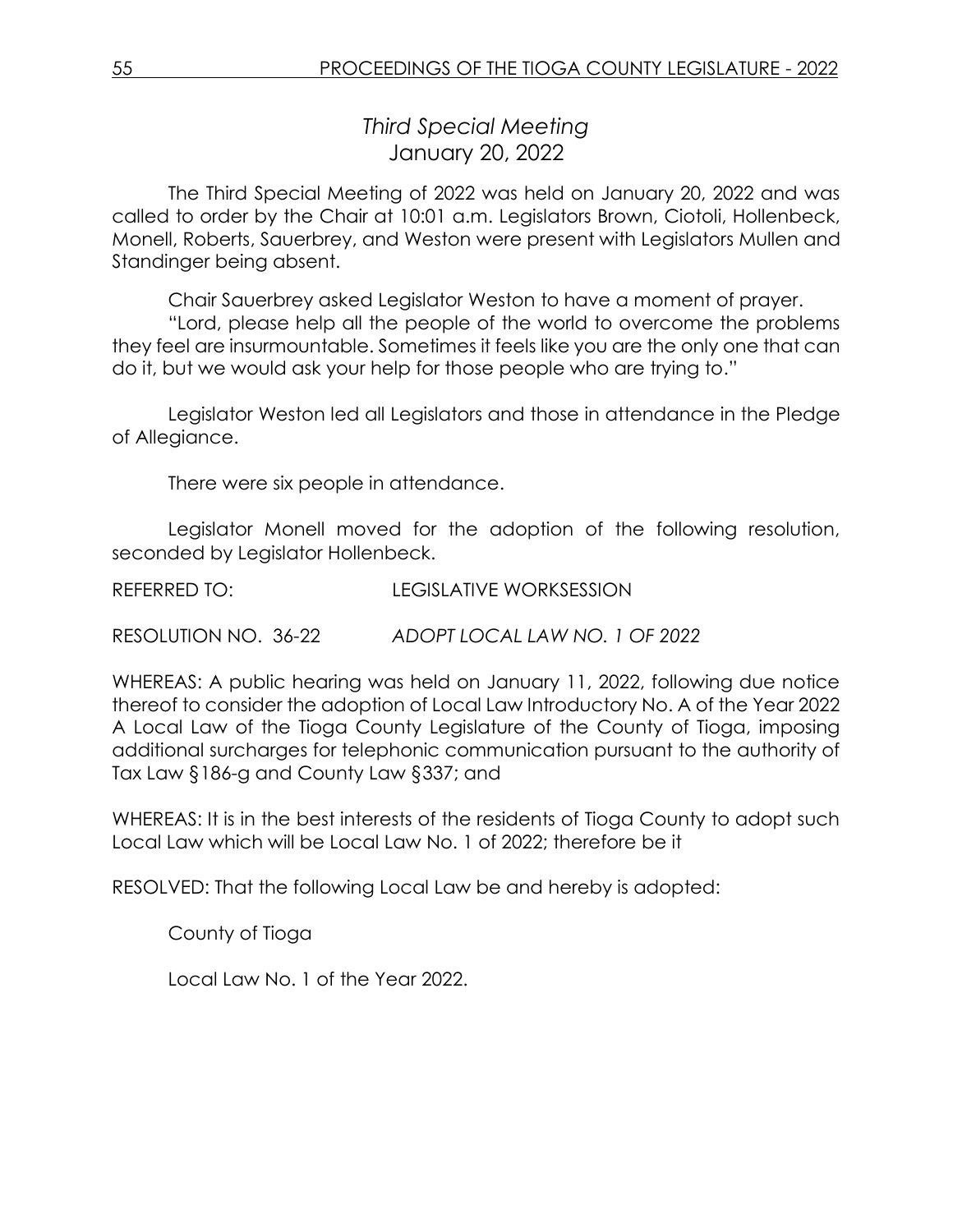*Third Special Meeting* January 20, 2022

The Third Special Meeting of 2022 was held on January 20, 2022 and was called to order by the Chair at 10:01 a.m. Legislators Brown, Ciotoli, Hollenbeck, Monell, Roberts, Sauerbrey, and Weston were present with Legislators Mullen and Standinger being absent.

Chair Sauerbrey asked Legislator Weston to have a moment of prayer.

"Lord, please help all the people of the world to overcome the problems they feel are insurmountable. Sometimes it feels like you are the only one that can do it, but we would ask your help for those people who are trying to."

Legislator Weston led all Legislators and those in attendance in the Pledge of Allegiance.

There were six people in attendance.

Legislator Monell moved for the adoption of the following resolution, seconded by Legislator Hollenbeck.

REFERRED TO: LEGISLATIVE WORKSESSION

RESOLUTION NO. 36-22 *ADOPT LOCAL LAW NO. 1 OF 2022*

WHEREAS: A public hearing was held on January 11, 2022, following due notice thereof to consider the adoption of Local Law Introductory No. A of the Year 2022 A Local Law of the Tioga County Legislature of the County of Tioga, imposing additional surcharges for telephonic communication pursuant to the authority of Tax Law §186-g and County Law §337; and

WHEREAS: It is in the best interests of the residents of Tioga County to adopt such Local Law which will be Local Law No. 1 of 2022; therefore be it

RESOLVED: That the following Local Law be and hereby is adopted:

County of Tioga

Local Law No. 1 of the Year 2022.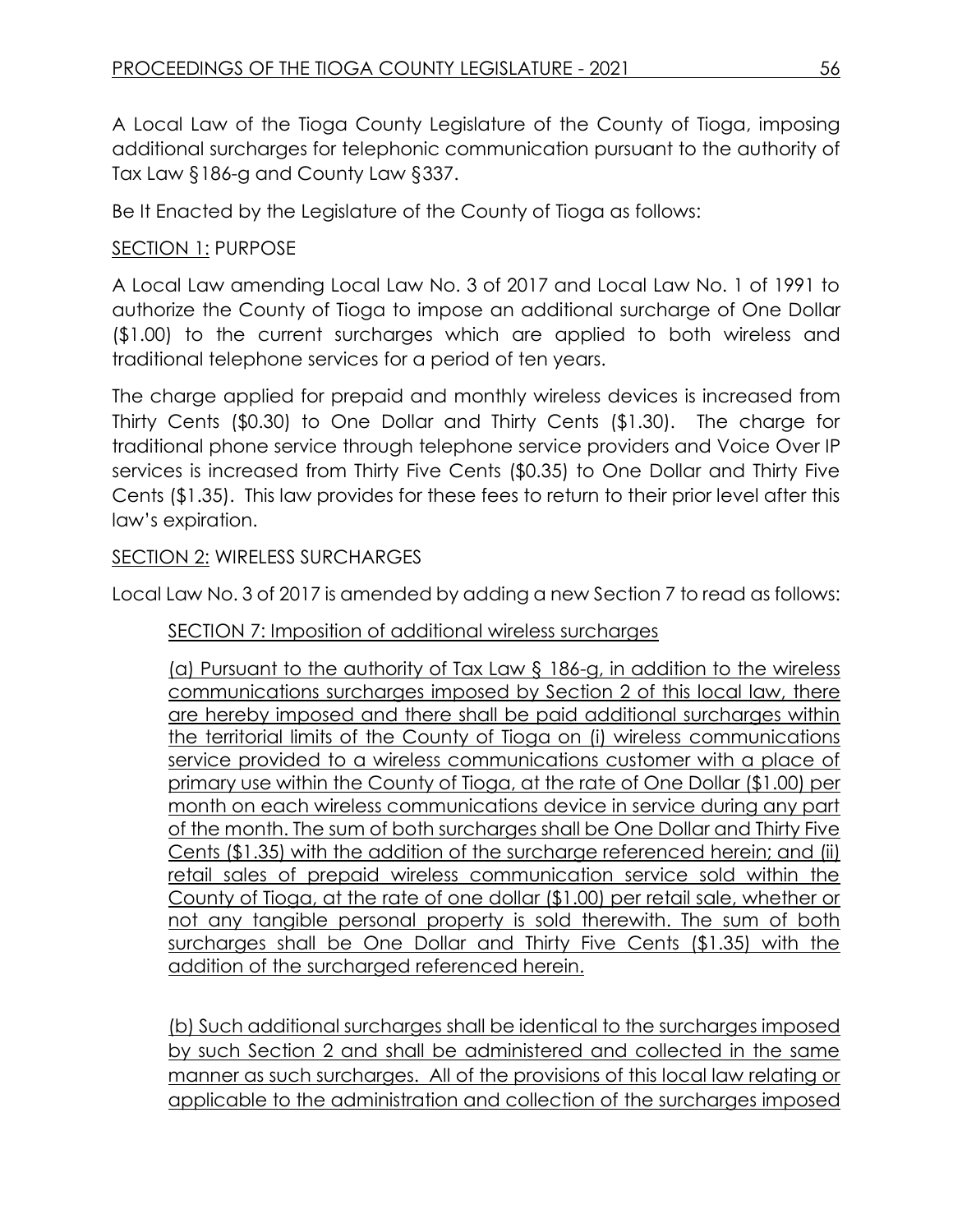A Local Law of the Tioga County Legislature of the County of Tioga, imposing additional surcharges for telephonic communication pursuant to the authority of Tax Law §186-g and County Law §337.

Be It Enacted by the Legislature of the County of Tioga as follows:

# SECTION 1: PURPOSE

A Local Law amending Local Law No. 3 of 2017 and Local Law No. 1 of 1991 to authorize the County of Tioga to impose an additional surcharge of One Dollar (\$1.00) to the current surcharges which are applied to both wireless and traditional telephone services for a period of ten years.

The charge applied for prepaid and monthly wireless devices is increased from Thirty Cents (\$0.30) to One Dollar and Thirty Cents (\$1.30). The charge for traditional phone service through telephone service providers and Voice Over IP services is increased from Thirty Five Cents (\$0.35) to One Dollar and Thirty Five Cents (\$1.35). This law provides for these fees to return to their prior level after this law's expiration.

### SECTION 2: WIRELESS SURCHARGES

Local Law No. 3 of 2017 is amended by adding a new Section 7 to read as follows:

SECTION 7: Imposition of additional wireless surcharges

(a) Pursuant to the authority of Tax Law § 186-g, in addition to the wireless communications surcharges imposed by Section 2 of this local law, there are hereby imposed and there shall be paid additional surcharges within the territorial limits of the County of Tioga on (i) wireless communications service provided to a wireless communications customer with a place of primary use within the County of Tioga, at the rate of One Dollar (\$1.00) per month on each wireless communications device in service during any part of the month. The sum of both surcharges shall be One Dollar and Thirty Five Cents (\$1.35) with the addition of the surcharge referenced herein; and (ii) retail sales of prepaid wireless communication service sold within the County of Tioga, at the rate of one dollar (\$1.00) per retail sale, whether or not any tangible personal property is sold therewith. The sum of both surcharges shall be One Dollar and Thirty Five Cents (\$1.35) with the addition of the surcharged referenced herein.

(b) Such additional surcharges shall be identical to the surcharges imposed by such Section 2 and shall be administered and collected in the same manner as such surcharges. All of the provisions of this local law relating or applicable to the administration and collection of the surcharges imposed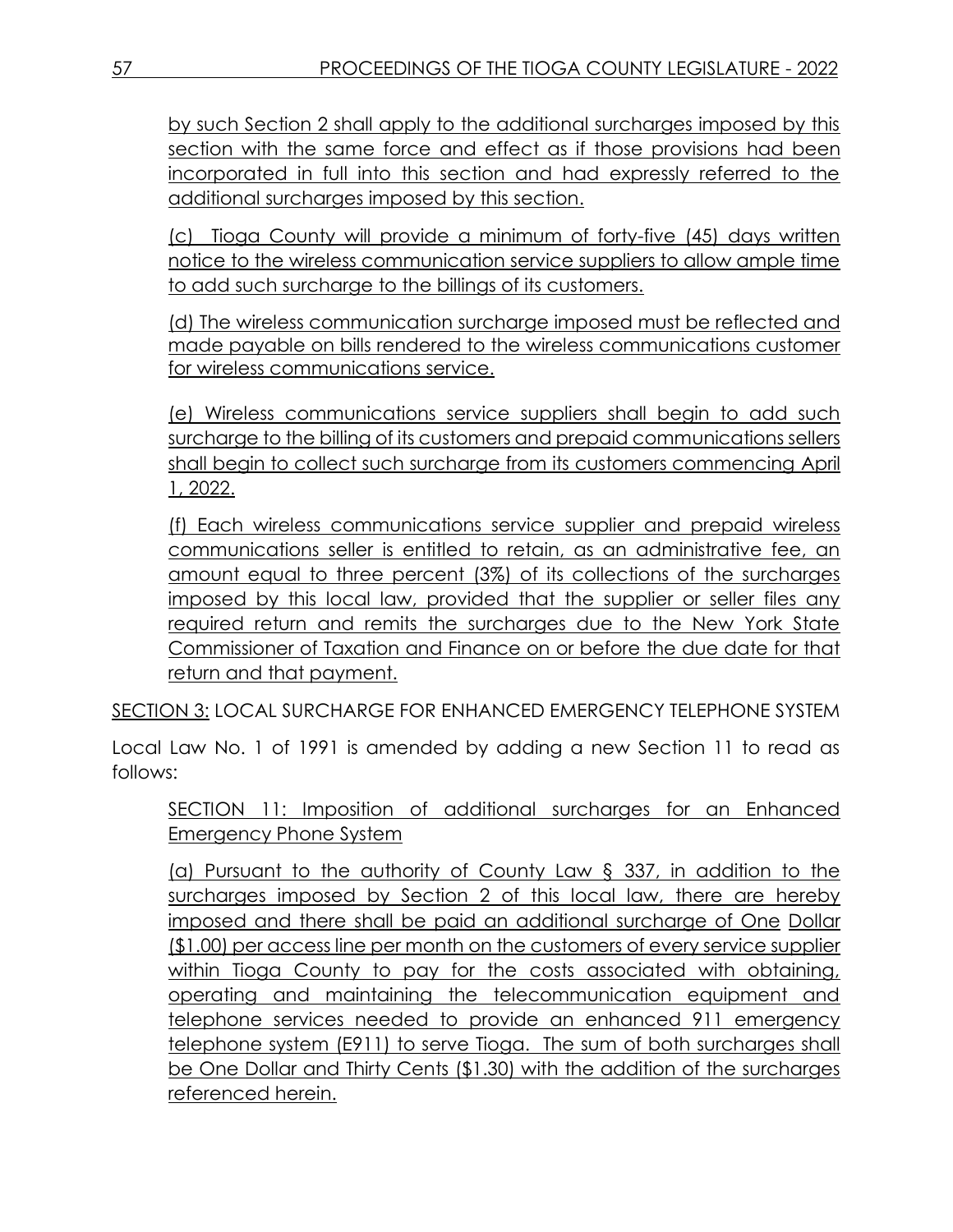by such Section 2 shall apply to the additional surcharges imposed by this section with the same force and effect as if those provisions had been incorporated in full into this section and had expressly referred to the additional surcharges imposed by this section.

(c) Tioga County will provide a minimum of forty-five (45) days written notice to the wireless communication service suppliers to allow ample time to add such surcharge to the billings of its customers.

(d) The wireless communication surcharge imposed must be reflected and made payable on bills rendered to the wireless communications customer for wireless communications service.

(e) Wireless communications service suppliers shall begin to add such surcharge to the billing of its customers and prepaid communications sellers shall begin to collect such surcharge from its customers commencing April 1, 2022.

(f) Each wireless communications service supplier and prepaid wireless communications seller is entitled to retain, as an administrative fee, an amount equal to three percent (3%) of its collections of the surcharges imposed by this local law, provided that the supplier or seller files any required return and remits the surcharges due to the New York State Commissioner of Taxation and Finance on or before the due date for that return and that payment.

SECTION 3: LOCAL SURCHARGE FOR ENHANCED EMERGENCY TELEPHONE SYSTEM

Local Law No. 1 of 1991 is amended by adding a new Section 11 to read as follows:

SECTION 11: Imposition of additional surcharges for an Enhanced Emergency Phone System

(a) Pursuant to the authority of County Law § 337, in addition to the surcharges imposed by Section 2 of this local law, there are hereby imposed and there shall be paid an additional surcharge of One Dollar (\$1.00) per access line per month on the customers of every service supplier within Tioga County to pay for the costs associated with obtaining, operating and maintaining the telecommunication equipment and telephone services needed to provide an enhanced 911 emergency telephone system (E911) to serve Tioga. The sum of both surcharges shall be One Dollar and Thirty Cents (\$1.30) with the addition of the surcharges referenced herein.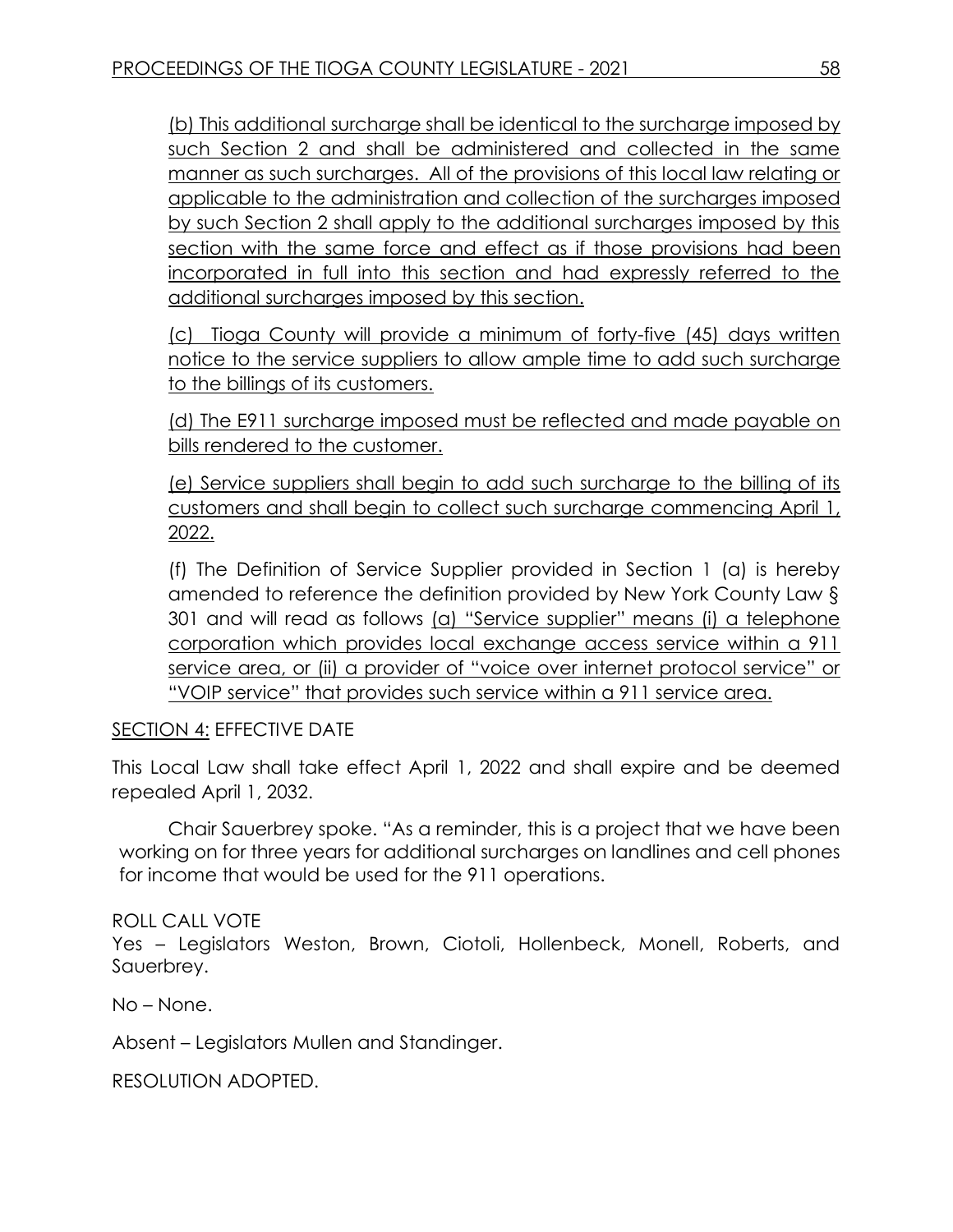(b) This additional surcharge shall be identical to the surcharge imposed by such Section 2 and shall be administered and collected in the same manner as such surcharges. All of the provisions of this local law relating or applicable to the administration and collection of the surcharges imposed by such Section 2 shall apply to the additional surcharges imposed by this section with the same force and effect as if those provisions had been incorporated in full into this section and had expressly referred to the additional surcharges imposed by this section.

(c) Tioga County will provide a minimum of forty-five (45) days written notice to the service suppliers to allow ample time to add such surcharge to the billings of its customers.

(d) The E911 surcharge imposed must be reflected and made payable on bills rendered to the customer.

(e) Service suppliers shall begin to add such surcharge to the billing of its customers and shall begin to collect such surcharge commencing April 1, 2022.

(f) The Definition of Service Supplier provided in Section 1 (a) is hereby amended to reference the definition provided by New York County Law § 301 and will read as follows (a) "Service supplier" means (i) a telephone corporation which provides local exchange access service within a 911 service area, or (ii) a provider of "voice over internet protocol service" or "VOIP service" that provides such service within a 911 service area.

## SECTION 4: EFFECTIVE DATE

This Local Law shall take effect April 1, 2022 and shall expire and be deemed repealed April 1, 2032.

Chair Sauerbrey spoke. "As a reminder, this is a project that we have been working on for three years for additional surcharges on landlines and cell phones for income that would be used for the 911 operations.

### ROLL CALL VOTE

Yes – Legislators Weston, Brown, Ciotoli, Hollenbeck, Monell, Roberts, and Sauerbrey.

No – None.

Absent – Legislators Mullen and Standinger.

RESOLUTION ADOPTED.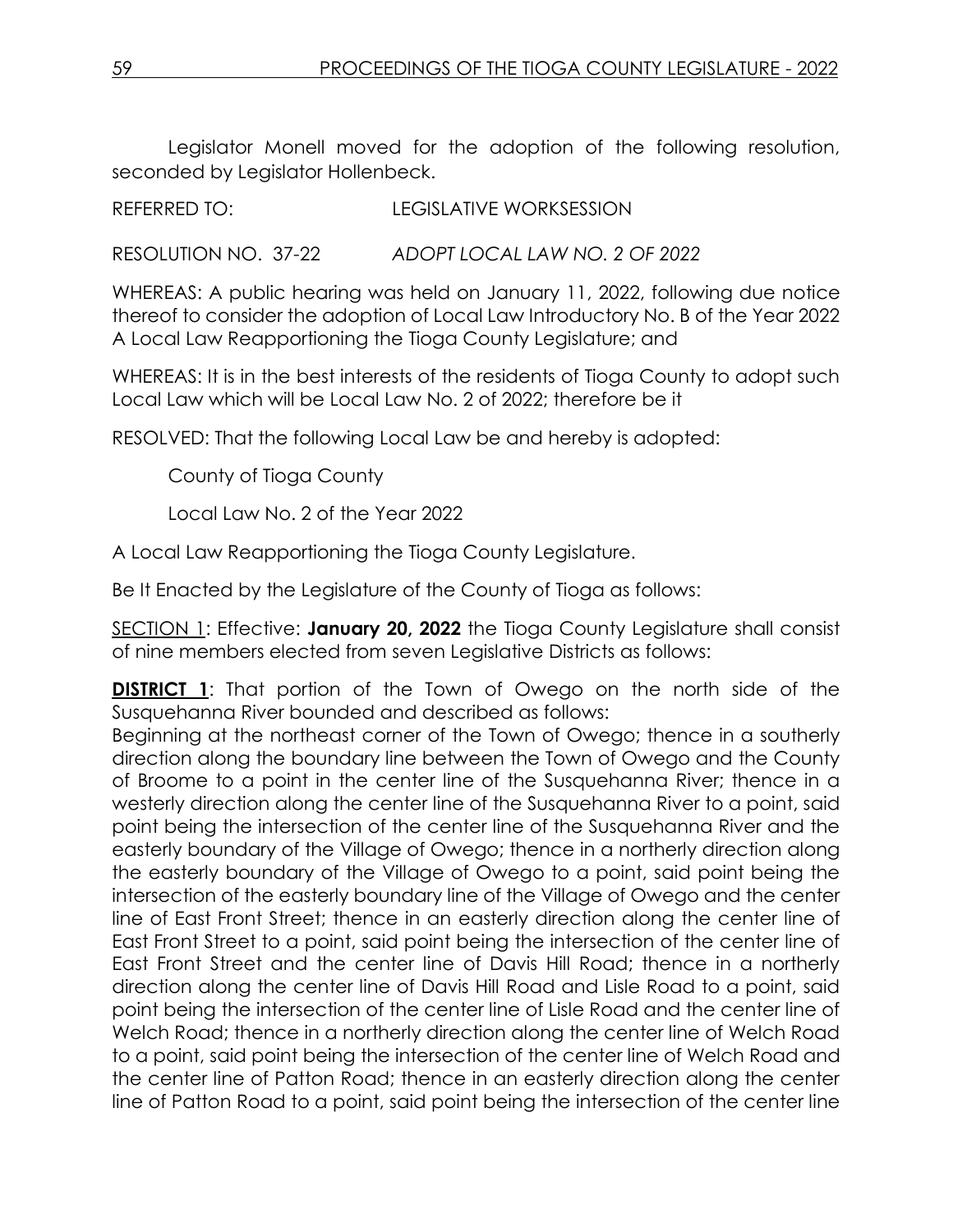Legislator Monell moved for the adoption of the following resolution, seconded by Legislator Hollenbeck.

REFERRED TO: LEGISLATIVE WORKSESSION

RESOLUTION NO. 37-22 *ADOPT LOCAL LAW NO. 2 OF 2022*

WHEREAS: A public hearing was held on January 11, 2022, following due notice thereof to consider the adoption of Local Law Introductory No. B of the Year 2022 A Local Law Reapportioning the Tioga County Legislature; and

WHEREAS: It is in the best interests of the residents of Tioga County to adopt such Local Law which will be Local Law No. 2 of 2022; therefore be it

RESOLVED: That the following Local Law be and hereby is adopted:

County of Tioga County

Local Law No. 2 of the Year 2022

A Local Law Reapportioning the Tioga County Legislature.

Be It Enacted by the Legislature of the County of Tioga as follows:

SECTION 1: Effective: **January 20, 2022** the Tioga County Legislature shall consist of nine members elected from seven Legislative Districts as follows:

**DISTRICT 1:** That portion of the Town of Owego on the north side of the Susquehanna River bounded and described as follows:

Beginning at the northeast corner of the Town of Owego; thence in a southerly direction along the boundary line between the Town of Owego and the County of Broome to a point in the center line of the Susquehanna River; thence in a westerly direction along the center line of the Susquehanna River to a point, said point being the intersection of the center line of the Susquehanna River and the easterly boundary of the Village of Owego; thence in a northerly direction along the easterly boundary of the Village of Owego to a point, said point being the intersection of the easterly boundary line of the Village of Owego and the center line of East Front Street; thence in an easterly direction along the center line of East Front Street to a point, said point being the intersection of the center line of East Front Street and the center line of Davis Hill Road; thence in a northerly direction along the center line of Davis Hill Road and Lisle Road to a point, said point being the intersection of the center line of Lisle Road and the center line of Welch Road; thence in a northerly direction along the center line of Welch Road to a point, said point being the intersection of the center line of Welch Road and the center line of Patton Road; thence in an easterly direction along the center line of Patton Road to a point, said point being the intersection of the center line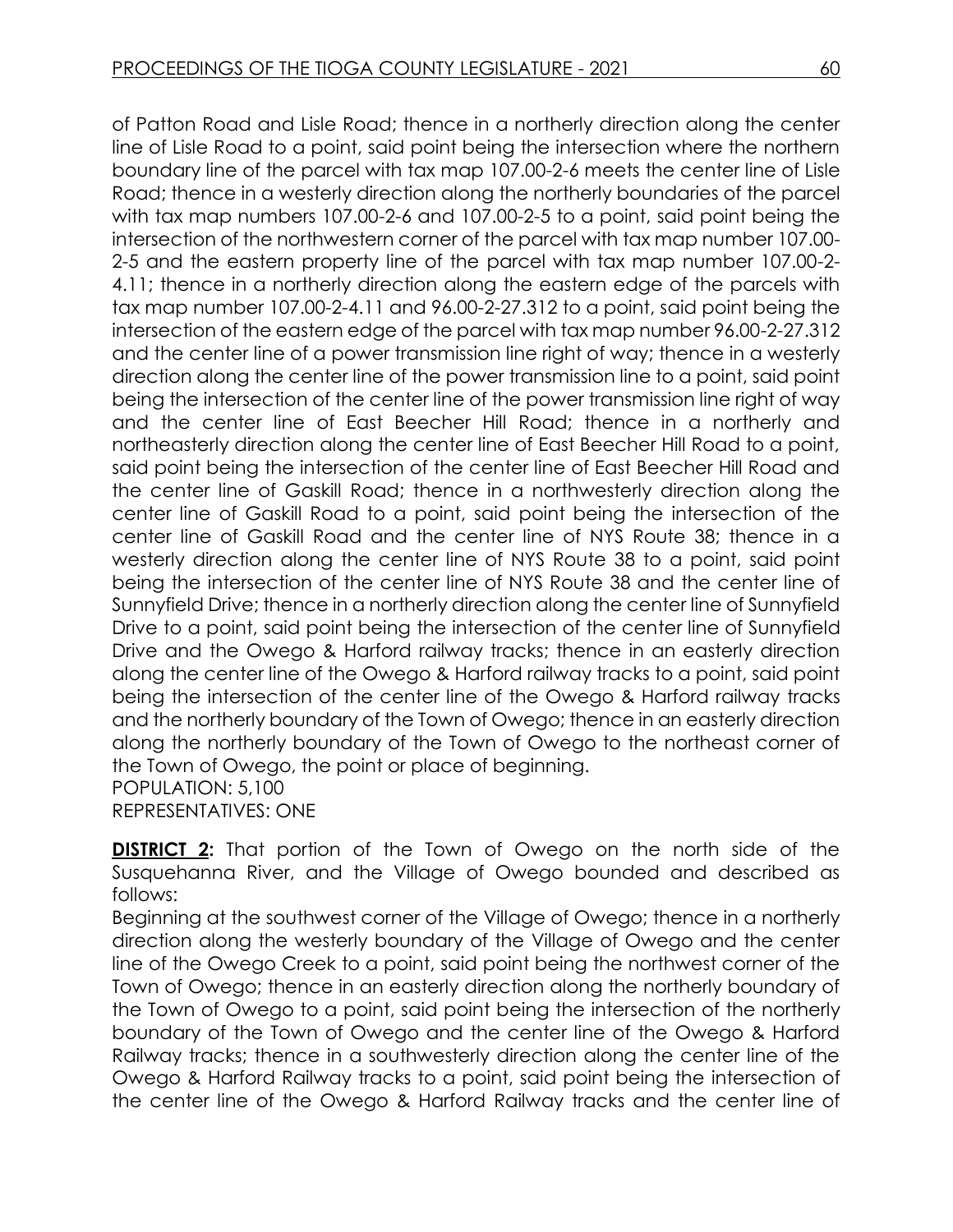of Patton Road and Lisle Road; thence in a northerly direction along the center line of Lisle Road to a point, said point being the intersection where the northern boundary line of the parcel with tax map 107.00-2-6 meets the center line of Lisle Road; thence in a westerly direction along the northerly boundaries of the parcel with tax map numbers 107.00-2-6 and 107.00-2-5 to a point, said point being the intersection of the northwestern corner of the parcel with tax map number 107.00- 2-5 and the eastern property line of the parcel with tax map number 107.00-2- 4.11; thence in a northerly direction along the eastern edge of the parcels with tax map number 107.00-2-4.11 and 96.00-2-27.312 to a point, said point being the intersection of the eastern edge of the parcel with tax map number 96.00-2-27.312 and the center line of a power transmission line right of way; thence in a westerly direction along the center line of the power transmission line to a point, said point being the intersection of the center line of the power transmission line right of way and the center line of East Beecher Hill Road; thence in a northerly and northeasterly direction along the center line of East Beecher Hill Road to a point, said point being the intersection of the center line of East Beecher Hill Road and the center line of Gaskill Road; thence in a northwesterly direction along the center line of Gaskill Road to a point, said point being the intersection of the center line of Gaskill Road and the center line of NYS Route 38; thence in a westerly direction along the center line of NYS Route 38 to a point, said point being the intersection of the center line of NYS Route 38 and the center line of Sunnyfield Drive; thence in a northerly direction along the center line of Sunnyfield Drive to a point, said point being the intersection of the center line of Sunnyfield Drive and the Owego & Harford railway tracks; thence in an easterly direction along the center line of the Owego & Harford railway tracks to a point, said point being the intersection of the center line of the Owego & Harford railway tracks and the northerly boundary of the Town of Owego; thence in an easterly direction along the northerly boundary of the Town of Owego to the northeast corner of the Town of Owego, the point or place of beginning. POPULATION: 5,100

REPRESENTATIVES: ONE

**DISTRICT 2:** That portion of the Town of Owego on the north side of the Susquehanna River, and the Village of Owego bounded and described as follows:

Beginning at the southwest corner of the Village of Owego; thence in a northerly direction along the westerly boundary of the Village of Owego and the center line of the Owego Creek to a point, said point being the northwest corner of the Town of Owego; thence in an easterly direction along the northerly boundary of the Town of Owego to a point, said point being the intersection of the northerly boundary of the Town of Owego and the center line of the Owego & Harford Railway tracks; thence in a southwesterly direction along the center line of the Owego & Harford Railway tracks to a point, said point being the intersection of the center line of the Owego & Harford Railway tracks and the center line of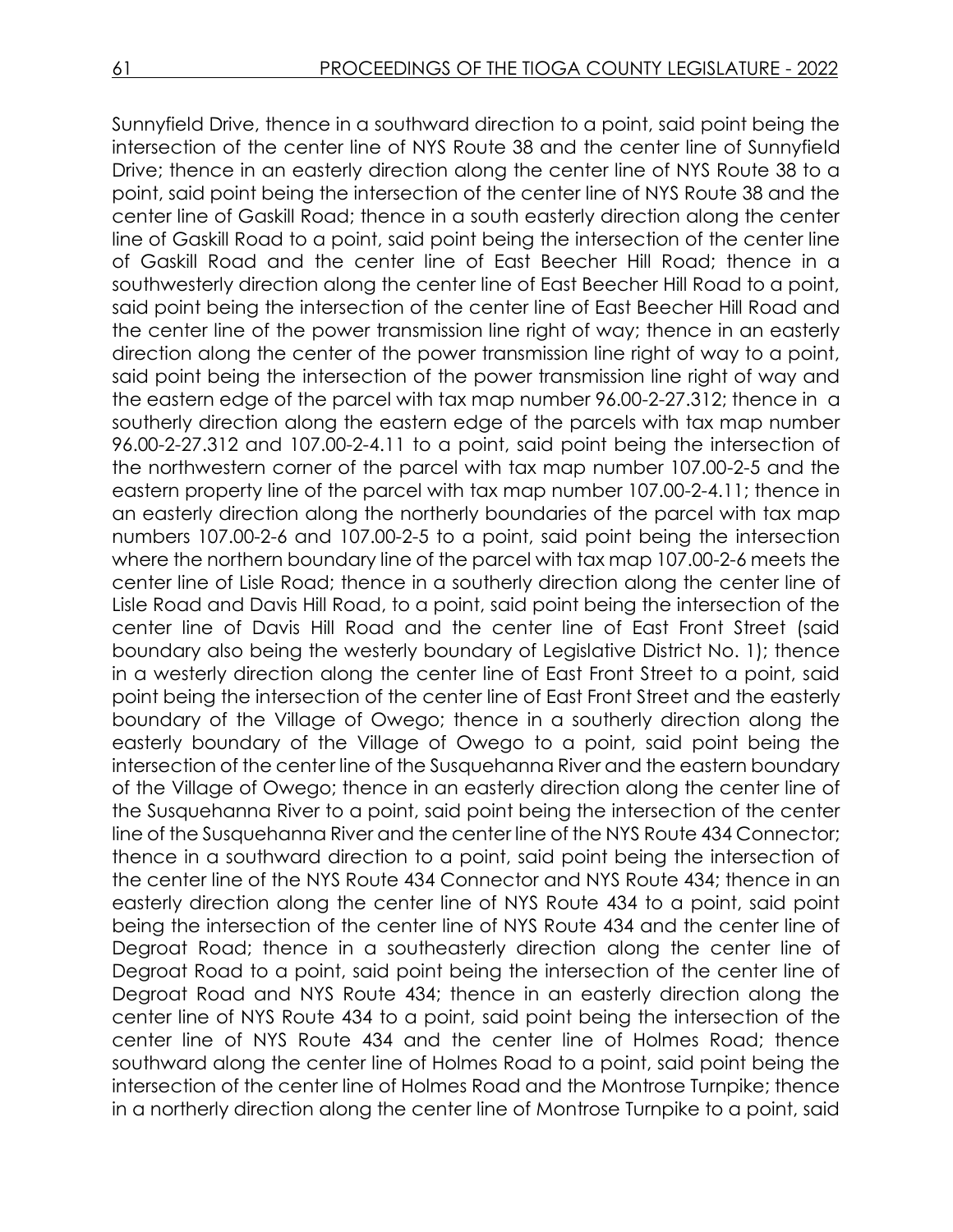Sunnyfield Drive, thence in a southward direction to a point, said point being the intersection of the center line of NYS Route 38 and the center line of Sunnyfield Drive; thence in an easterly direction along the center line of NYS Route 38 to a point, said point being the intersection of the center line of NYS Route 38 and the center line of Gaskill Road; thence in a south easterly direction along the center line of Gaskill Road to a point, said point being the intersection of the center line of Gaskill Road and the center line of East Beecher Hill Road; thence in a southwesterly direction along the center line of East Beecher Hill Road to a point, said point being the intersection of the center line of East Beecher Hill Road and the center line of the power transmission line right of way; thence in an easterly direction along the center of the power transmission line right of way to a point, said point being the intersection of the power transmission line right of way and the eastern edge of the parcel with tax map number 96.00-2-27.312; thence in a southerly direction along the eastern edge of the parcels with tax map number 96.00-2-27.312 and 107.00-2-4.11 to a point, said point being the intersection of the northwestern corner of the parcel with tax map number 107.00-2-5 and the eastern property line of the parcel with tax map number 107.00-2-4.11; thence in an easterly direction along the northerly boundaries of the parcel with tax map numbers 107.00-2-6 and 107.00-2-5 to a point, said point being the intersection where the northern boundary line of the parcel with tax map 107.00-2-6 meets the center line of Lisle Road; thence in a southerly direction along the center line of Lisle Road and Davis Hill Road, to a point, said point being the intersection of the center line of Davis Hill Road and the center line of East Front Street (said boundary also being the westerly boundary of Legislative District No. 1); thence in a westerly direction along the center line of East Front Street to a point, said point being the intersection of the center line of East Front Street and the easterly boundary of the Village of Owego; thence in a southerly direction along the easterly boundary of the Village of Owego to a point, said point being the intersection of the center line of the Susquehanna River and the eastern boundary of the Village of Owego; thence in an easterly direction along the center line of the Susquehanna River to a point, said point being the intersection of the center line of the Susquehanna River and the center line of the NYS Route 434 Connector; thence in a southward direction to a point, said point being the intersection of the center line of the NYS Route 434 Connector and NYS Route 434; thence in an easterly direction along the center line of NYS Route 434 to a point, said point being the intersection of the center line of NYS Route 434 and the center line of Degroat Road; thence in a southeasterly direction along the center line of Degroat Road to a point, said point being the intersection of the center line of Degroat Road and NYS Route 434; thence in an easterly direction along the center line of NYS Route 434 to a point, said point being the intersection of the center line of NYS Route 434 and the center line of Holmes Road; thence southward along the center line of Holmes Road to a point, said point being the intersection of the center line of Holmes Road and the Montrose Turnpike; thence in a northerly direction along the center line of Montrose Turnpike to a point, said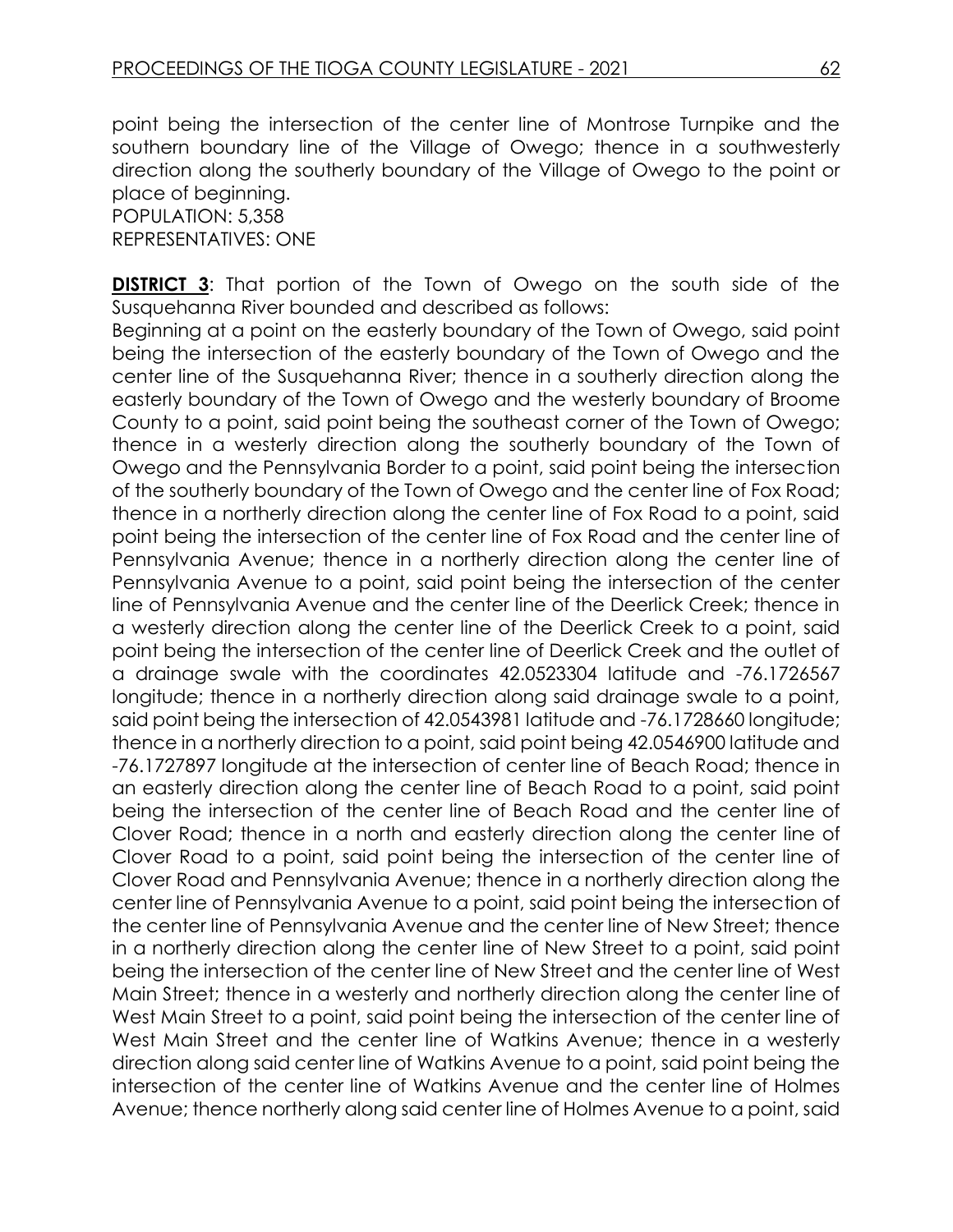point being the intersection of the center line of Montrose Turnpike and the southern boundary line of the Village of Owego; thence in a southwesterly direction along the southerly boundary of the Village of Owego to the point or place of beginning.

POPULATION: 5,358 REPRESENTATIVES: ONE

**DISTRICT 3:** That portion of the Town of Owego on the south side of the Susquehanna River bounded and described as follows:

Beginning at a point on the easterly boundary of the Town of Owego, said point being the intersection of the easterly boundary of the Town of Owego and the center line of the Susquehanna River; thence in a southerly direction along the easterly boundary of the Town of Owego and the westerly boundary of Broome County to a point, said point being the southeast corner of the Town of Owego; thence in a westerly direction along the southerly boundary of the Town of Owego and the Pennsylvania Border to a point, said point being the intersection of the southerly boundary of the Town of Owego and the center line of Fox Road; thence in a northerly direction along the center line of Fox Road to a point, said point being the intersection of the center line of Fox Road and the center line of Pennsylvania Avenue; thence in a northerly direction along the center line of Pennsylvania Avenue to a point, said point being the intersection of the center line of Pennsylvania Avenue and the center line of the Deerlick Creek; thence in a westerly direction along the center line of the Deerlick Creek to a point, said point being the intersection of the center line of Deerlick Creek and the outlet of a drainage swale with the coordinates 42.0523304 latitude and -76.1726567 longitude; thence in a northerly direction along said drainage swale to a point, said point being the intersection of 42.0543981 latitude and -76.1728660 longitude; thence in a northerly direction to a point, said point being 42.0546900 latitude and -76.1727897 longitude at the intersection of center line of Beach Road; thence in an easterly direction along the center line of Beach Road to a point, said point being the intersection of the center line of Beach Road and the center line of Clover Road; thence in a north and easterly direction along the center line of Clover Road to a point, said point being the intersection of the center line of Clover Road and Pennsylvania Avenue; thence in a northerly direction along the center line of Pennsylvania Avenue to a point, said point being the intersection of the center line of Pennsylvania Avenue and the center line of New Street; thence in a northerly direction along the center line of New Street to a point, said point being the intersection of the center line of New Street and the center line of West Main Street; thence in a westerly and northerly direction along the center line of West Main Street to a point, said point being the intersection of the center line of West Main Street and the center line of Watkins Avenue; thence in a westerly direction along said center line of Watkins Avenue to a point, said point being the intersection of the center line of Watkins Avenue and the center line of Holmes Avenue; thence northerly along said center line of Holmes Avenue to a point, said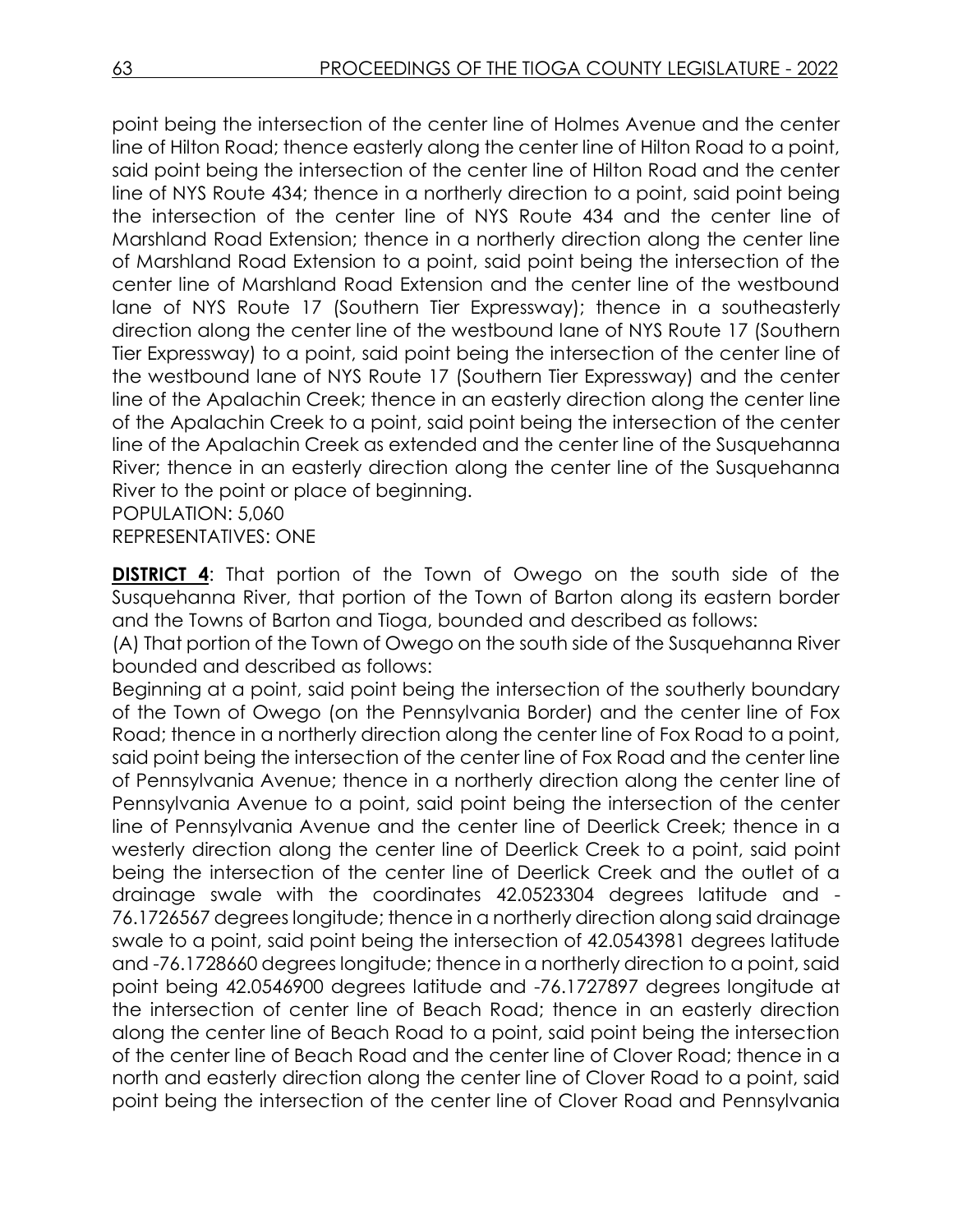point being the intersection of the center line of Holmes Avenue and the center line of Hilton Road; thence easterly along the center line of Hilton Road to a point, said point being the intersection of the center line of Hilton Road and the center line of NYS Route 434; thence in a northerly direction to a point, said point being the intersection of the center line of NYS Route 434 and the center line of Marshland Road Extension; thence in a northerly direction along the center line of Marshland Road Extension to a point, said point being the intersection of the center line of Marshland Road Extension and the center line of the westbound lane of NYS Route 17 (Southern Tier Expressway); thence in a southeasterly direction along the center line of the westbound lane of NYS Route 17 (Southern Tier Expressway) to a point, said point being the intersection of the center line of the westbound lane of NYS Route 17 (Southern Tier Expressway) and the center line of the Apalachin Creek; thence in an easterly direction along the center line of the Apalachin Creek to a point, said point being the intersection of the center line of the Apalachin Creek as extended and the center line of the Susquehanna River; thence in an easterly direction along the center line of the Susquehanna River to the point or place of beginning.

POPULATION: 5,060

REPRESENTATIVES: ONE

**DISTRICT 4:** That portion of the Town of Owego on the south side of the Susquehanna River, that portion of the Town of Barton along its eastern border and the Towns of Barton and Tioga, bounded and described as follows:

(A) That portion of the Town of Owego on the south side of the Susquehanna River bounded and described as follows:

Beginning at a point, said point being the intersection of the southerly boundary of the Town of Owego (on the Pennsylvania Border) and the center line of Fox Road; thence in a northerly direction along the center line of Fox Road to a point, said point being the intersection of the center line of Fox Road and the center line of Pennsylvania Avenue; thence in a northerly direction along the center line of Pennsylvania Avenue to a point, said point being the intersection of the center line of Pennsylvania Avenue and the center line of Deerlick Creek; thence in a westerly direction along the center line of Deerlick Creek to a point, said point being the intersection of the center line of Deerlick Creek and the outlet of a drainage swale with the coordinates 42.0523304 degrees latitude and - 76.1726567 degrees longitude; thence in a northerly direction along said drainage swale to a point, said point being the intersection of 42.0543981 degrees latitude and -76.1728660 degrees longitude; thence in a northerly direction to a point, said point being 42.0546900 degrees latitude and -76.1727897 degrees longitude at the intersection of center line of Beach Road; thence in an easterly direction along the center line of Beach Road to a point, said point being the intersection of the center line of Beach Road and the center line of Clover Road; thence in a north and easterly direction along the center line of Clover Road to a point, said point being the intersection of the center line of Clover Road and Pennsylvania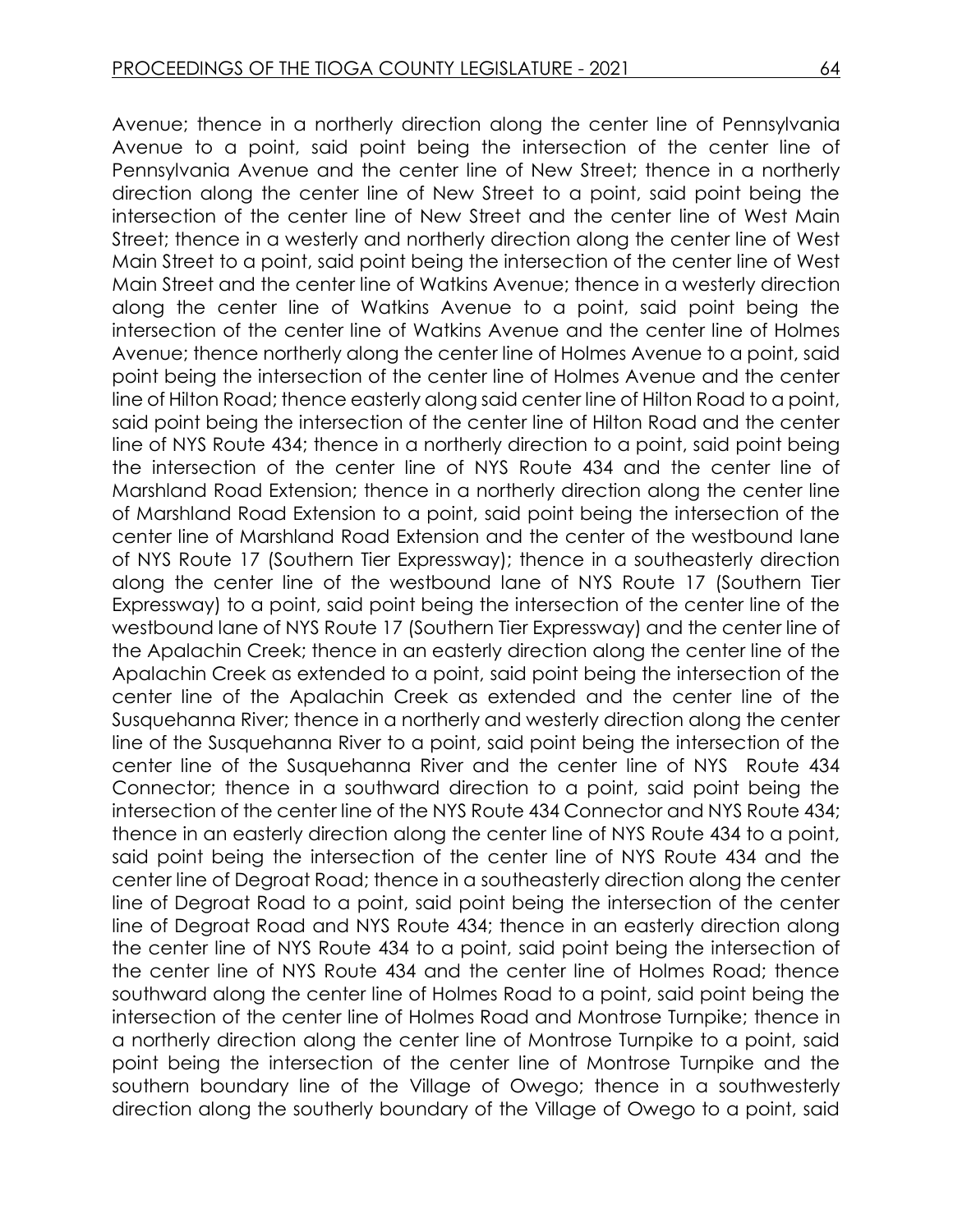Avenue; thence in a northerly direction along the center line of Pennsylvania Avenue to a point, said point being the intersection of the center line of Pennsylvania Avenue and the center line of New Street; thence in a northerly direction along the center line of New Street to a point, said point being the intersection of the center line of New Street and the center line of West Main Street; thence in a westerly and northerly direction along the center line of West Main Street to a point, said point being the intersection of the center line of West Main Street and the center line of Watkins Avenue; thence in a westerly direction along the center line of Watkins Avenue to a point, said point being the intersection of the center line of Watkins Avenue and the center line of Holmes Avenue; thence northerly along the center line of Holmes Avenue to a point, said point being the intersection of the center line of Holmes Avenue and the center line of Hilton Road; thence easterly along said center line of Hilton Road to a point, said point being the intersection of the center line of Hilton Road and the center line of NYS Route 434; thence in a northerly direction to a point, said point being the intersection of the center line of NYS Route 434 and the center line of Marshland Road Extension; thence in a northerly direction along the center line of Marshland Road Extension to a point, said point being the intersection of the center line of Marshland Road Extension and the center of the westbound lane of NYS Route 17 (Southern Tier Expressway); thence in a southeasterly direction along the center line of the westbound lane of NYS Route 17 (Southern Tier Expressway) to a point, said point being the intersection of the center line of the westbound lane of NYS Route 17 (Southern Tier Expressway) and the center line of the Apalachin Creek; thence in an easterly direction along the center line of the Apalachin Creek as extended to a point, said point being the intersection of the center line of the Apalachin Creek as extended and the center line of the Susquehanna River; thence in a northerly and westerly direction along the center line of the Susquehanna River to a point, said point being the intersection of the center line of the Susquehanna River and the center line of NYS Route 434 Connector; thence in a southward direction to a point, said point being the intersection of the center line of the NYS Route 434 Connector and NYS Route 434; thence in an easterly direction along the center line of NYS Route 434 to a point, said point being the intersection of the center line of NYS Route 434 and the center line of Degroat Road; thence in a southeasterly direction along the center line of Degroat Road to a point, said point being the intersection of the center line of Degroat Road and NYS Route 434; thence in an easterly direction along the center line of NYS Route 434 to a point, said point being the intersection of the center line of NYS Route 434 and the center line of Holmes Road; thence southward along the center line of Holmes Road to a point, said point being the intersection of the center line of Holmes Road and Montrose Turnpike; thence in a northerly direction along the center line of Montrose Turnpike to a point, said point being the intersection of the center line of Montrose Turnpike and the southern boundary line of the Village of Owego; thence in a southwesterly direction along the southerly boundary of the Village of Owego to a point, said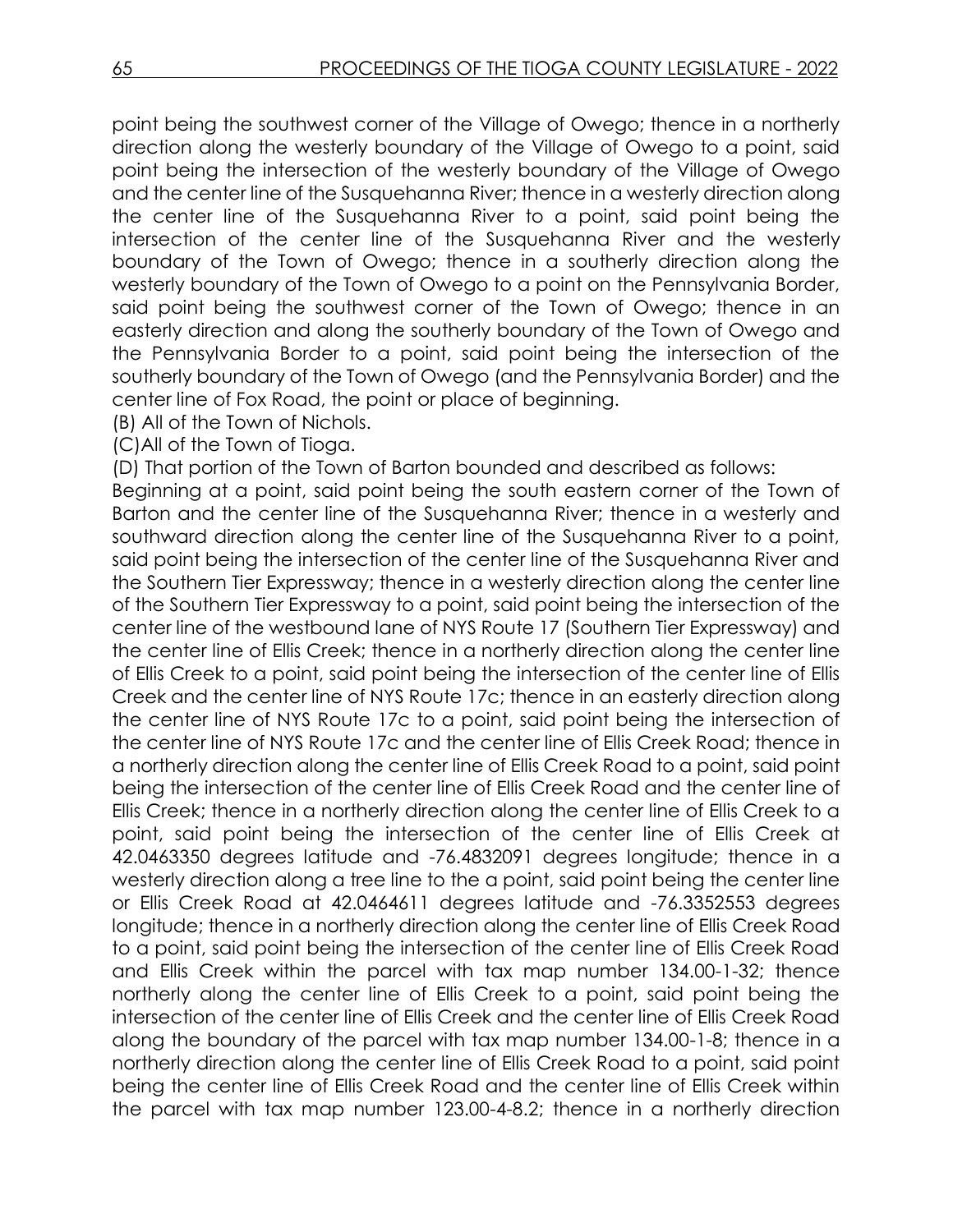point being the southwest corner of the Village of Owego; thence in a northerly direction along the westerly boundary of the Village of Owego to a point, said point being the intersection of the westerly boundary of the Village of Owego and the center line of the Susquehanna River; thence in a westerly direction along the center line of the Susquehanna River to a point, said point being the intersection of the center line of the Susquehanna River and the westerly boundary of the Town of Owego; thence in a southerly direction along the westerly boundary of the Town of Owego to a point on the Pennsylvania Border, said point being the southwest corner of the Town of Owego; thence in an easterly direction and along the southerly boundary of the Town of Owego and the Pennsylvania Border to a point, said point being the intersection of the southerly boundary of the Town of Owego (and the Pennsylvania Border) and the center line of Fox Road, the point or place of beginning.

(B) All of the Town of Nichols.

(C)All of the Town of Tioga.

(D) That portion of the Town of Barton bounded and described as follows:

Beginning at a point, said point being the south eastern corner of the Town of Barton and the center line of the Susquehanna River; thence in a westerly and southward direction along the center line of the Susquehanna River to a point, said point being the intersection of the center line of the Susquehanna River and the Southern Tier Expressway; thence in a westerly direction along the center line of the Southern Tier Expressway to a point, said point being the intersection of the center line of the westbound lane of NYS Route 17 (Southern Tier Expressway) and the center line of Ellis Creek; thence in a northerly direction along the center line of Ellis Creek to a point, said point being the intersection of the center line of Ellis Creek and the center line of NYS Route 17c; thence in an easterly direction along the center line of NYS Route 17c to a point, said point being the intersection of the center line of NYS Route 17c and the center line of Ellis Creek Road; thence in a northerly direction along the center line of Ellis Creek Road to a point, said point being the intersection of the center line of Ellis Creek Road and the center line of Ellis Creek; thence in a northerly direction along the center line of Ellis Creek to a point, said point being the intersection of the center line of Ellis Creek at 42.0463350 degrees latitude and -76.4832091 degrees longitude; thence in a westerly direction along a tree line to the a point, said point being the center line or Ellis Creek Road at 42.0464611 degrees latitude and -76.3352553 degrees longitude; thence in a northerly direction along the center line of Ellis Creek Road to a point, said point being the intersection of the center line of Ellis Creek Road and Ellis Creek within the parcel with tax map number 134.00-1-32; thence northerly along the center line of Ellis Creek to a point, said point being the intersection of the center line of Ellis Creek and the center line of Ellis Creek Road along the boundary of the parcel with tax map number 134.00-1-8; thence in a northerly direction along the center line of Ellis Creek Road to a point, said point being the center line of Ellis Creek Road and the center line of Ellis Creek within the parcel with tax map number 123.00-4-8.2; thence in a northerly direction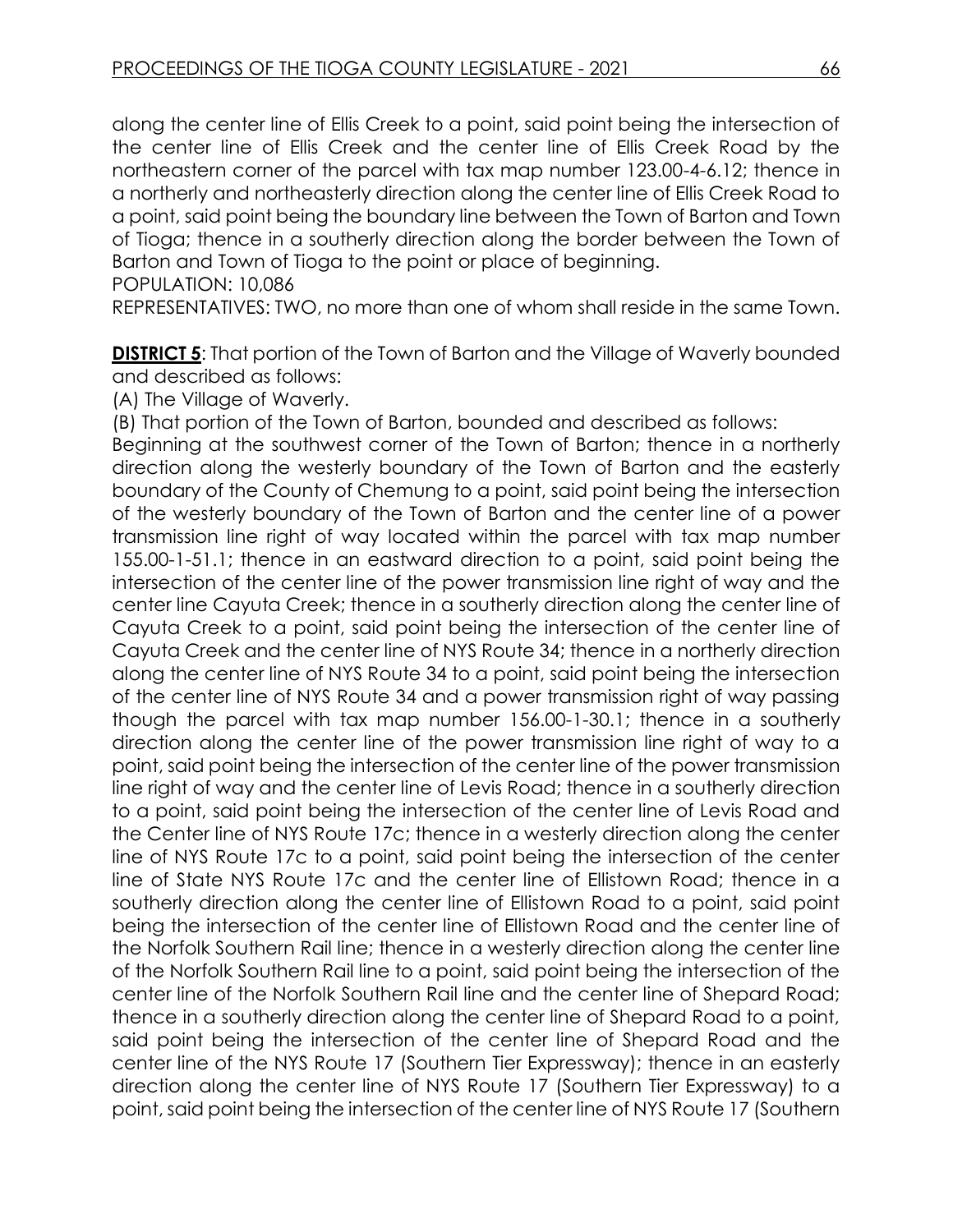along the center line of Ellis Creek to a point, said point being the intersection of the center line of Ellis Creek and the center line of Ellis Creek Road by the northeastern corner of the parcel with tax map number 123.00-4-6.12; thence in a northerly and northeasterly direction along the center line of Ellis Creek Road to a point, said point being the boundary line between the Town of Barton and Town of Tioga; thence in a southerly direction along the border between the Town of Barton and Town of Tioga to the point or place of beginning.

POPULATION: 10,086

REPRESENTATIVES: TWO, no more than one of whom shall reside in the same Town.

**DISTRICT 5:** That portion of the Town of Barton and the Village of Waverly bounded and described as follows:

(A) The Village of Waverly.

(B) That portion of the Town of Barton, bounded and described as follows:

Beginning at the southwest corner of the Town of Barton; thence in a northerly direction along the westerly boundary of the Town of Barton and the easterly boundary of the County of Chemung to a point, said point being the intersection of the westerly boundary of the Town of Barton and the center line of a power transmission line right of way located within the parcel with tax map number 155.00-1-51.1; thence in an eastward direction to a point, said point being the intersection of the center line of the power transmission line right of way and the center line Cayuta Creek; thence in a southerly direction along the center line of Cayuta Creek to a point, said point being the intersection of the center line of Cayuta Creek and the center line of NYS Route 34; thence in a northerly direction along the center line of NYS Route 34 to a point, said point being the intersection of the center line of NYS Route 34 and a power transmission right of way passing though the parcel with tax map number 156.00-1-30.1; thence in a southerly direction along the center line of the power transmission line right of way to a point, said point being the intersection of the center line of the power transmission line right of way and the center line of Levis Road; thence in a southerly direction to a point, said point being the intersection of the center line of Levis Road and the Center line of NYS Route 17c; thence in a westerly direction along the center line of NYS Route 17c to a point, said point being the intersection of the center line of State NYS Route 17c and the center line of Ellistown Road; thence in a southerly direction along the center line of Ellistown Road to a point, said point being the intersection of the center line of Ellistown Road and the center line of the Norfolk Southern Rail line; thence in a westerly direction along the center line of the Norfolk Southern Rail line to a point, said point being the intersection of the center line of the Norfolk Southern Rail line and the center line of Shepard Road; thence in a southerly direction along the center line of Shepard Road to a point, said point being the intersection of the center line of Shepard Road and the center line of the NYS Route 17 (Southern Tier Expressway); thence in an easterly direction along the center line of NYS Route 17 (Southern Tier Expressway) to a point, said point being the intersection of the center line of NYS Route 17 (Southern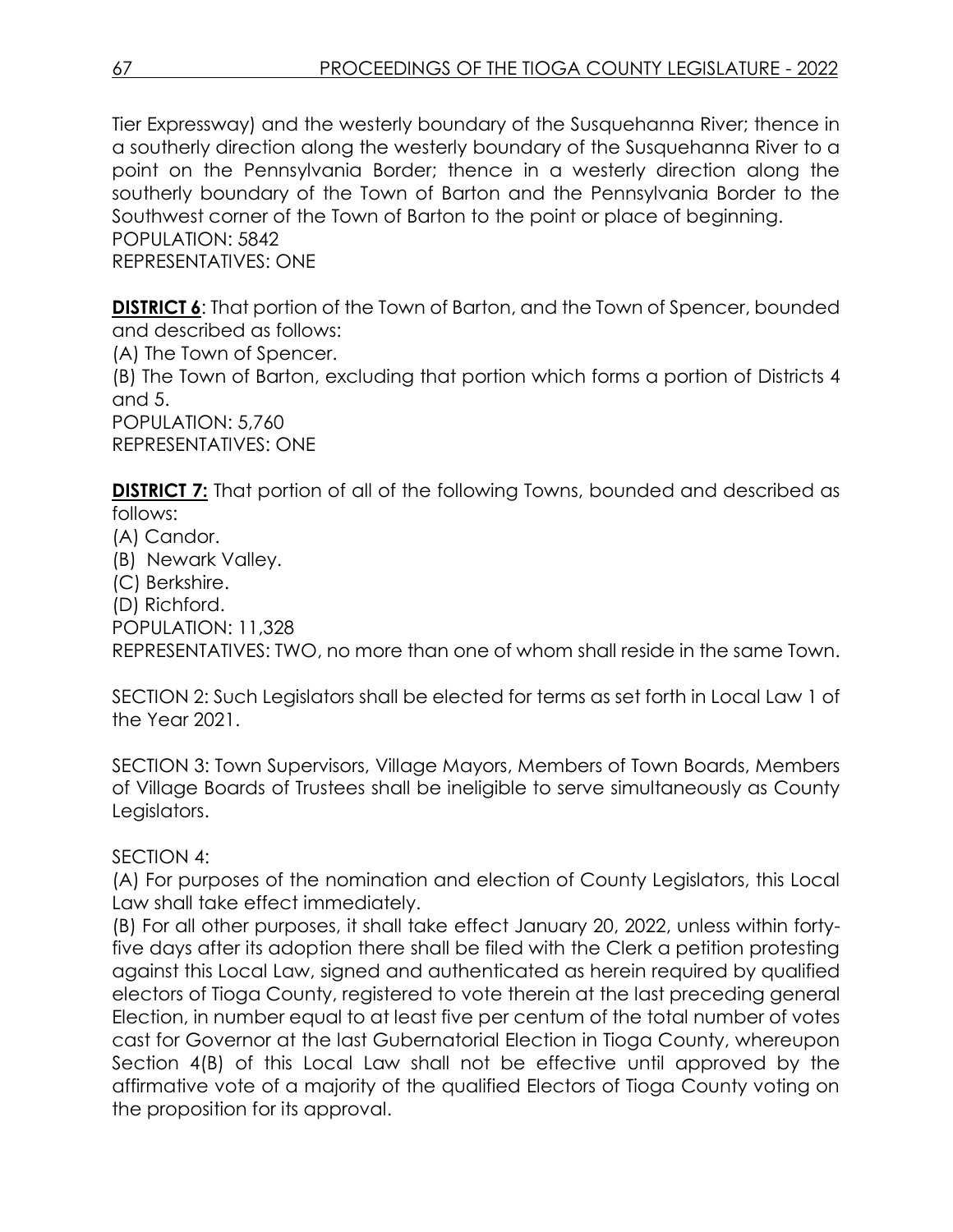Tier Expressway) and the westerly boundary of the Susquehanna River; thence in a southerly direction along the westerly boundary of the Susquehanna River to a point on the Pennsylvania Border; thence in a westerly direction along the southerly boundary of the Town of Barton and the Pennsylvania Border to the Southwest corner of the Town of Barton to the point or place of beginning. POPULATION: 5842

REPRESENTATIVES: ONE

**DISTRICT 6**: That portion of the Town of Barton, and the Town of Spencer, bounded and described as follows:

(A) The Town of Spencer.

(B) The Town of Barton, excluding that portion which forms a portion of Districts 4 and 5.

POPULATION: 5,760 REPRESENTATIVES: ONE

**DISTRICT 7:** That portion of all of the following Towns, bounded and described as follows:

- (A) Candor.
- (B) Newark Valley.
- (C) Berkshire.
- (D) Richford.
- POPULATION: 11,328

REPRESENTATIVES: TWO, no more than one of whom shall reside in the same Town.

SECTION 2: Such Legislators shall be elected for terms as set forth in Local Law 1 of the Year 2021.

SECTION 3: Town Supervisors, Village Mayors, Members of Town Boards, Members of Village Boards of Trustees shall be ineligible to serve simultaneously as County Legislators.

### SECTION 4:

(A) For purposes of the nomination and election of County Legislators, this Local Law shall take effect immediately.

(B) For all other purposes, it shall take effect January 20, 2022, unless within fortyfive days after its adoption there shall be filed with the Clerk a petition protesting against this Local Law, signed and authenticated as herein required by qualified electors of Tioga County, registered to vote therein at the last preceding general Election, in number equal to at least five per centum of the total number of votes cast for Governor at the last Gubernatorial Election in Tioga County, whereupon Section 4(B) of this Local Law shall not be effective until approved by the affirmative vote of a majority of the qualified Electors of Tioga County voting on the proposition for its approval.